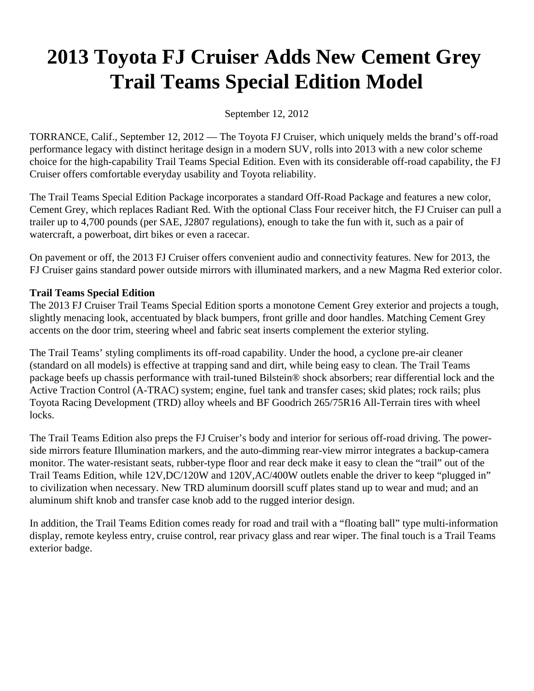# **2013 Toyota FJ Cruiser Adds New Cement Grey Trail Teams Special Edition Model**

September 12, 2012

TORRANCE, Calif., September 12, 2012 — The Toyota FJ Cruiser, which uniquely melds the brand's off-road performance legacy with distinct heritage design in a modern SUV, rolls into 2013 with a new color scheme choice for the high-capability Trail Teams Special Edition. Even with its considerable off-road capability, the FJ Cruiser offers comfortable everyday usability and Toyota reliability.

The Trail Teams Special Edition Package incorporates a standard Off-Road Package and features a new color, Cement Grey, which replaces Radiant Red. With the optional Class Four receiver hitch, the FJ Cruiser can pull a trailer up to 4,700 pounds (per SAE, J2807 regulations), enough to take the fun with it, such as a pair of watercraft, a powerboat, dirt bikes or even a racecar.

On pavement or off, the 2013 FJ Cruiser offers convenient audio and connectivity features. New for 2013, the FJ Cruiser gains standard power outside mirrors with illuminated markers, and a new Magma Red exterior color.

# **Trail Teams Special Edition**

The 2013 FJ Cruiser Trail Teams Special Edition sports a monotone Cement Grey exterior and projects a tough, slightly menacing look, accentuated by black bumpers, front grille and door handles. Matching Cement Grey accents on the door trim, steering wheel and fabric seat inserts complement the exterior styling.

The Trail Teams' styling compliments its off-road capability. Under the hood, a cyclone pre-air cleaner (standard on all models) is effective at trapping sand and dirt, while being easy to clean. The Trail Teams package beefs up chassis performance with trail-tuned Bilstein® shock absorbers; rear differential lock and the Active Traction Control (A-TRAC) system; engine, fuel tank and transfer cases; skid plates; rock rails; plus Toyota Racing Development (TRD) alloy wheels and BF Goodrich 265/75R16 All-Terrain tires with wheel locks.

The Trail Teams Edition also preps the FJ Cruiser's body and interior for serious off-road driving. The powerside mirrors feature Illumination markers, and the auto-dimming rear-view mirror integrates a backup-camera monitor. The water-resistant seats, rubber-type floor and rear deck make it easy to clean the "trail" out of the Trail Teams Edition, while 12V,DC/120W and 120V,AC/400W outlets enable the driver to keep "plugged in" to civilization when necessary. New TRD aluminum doorsill scuff plates stand up to wear and mud; and an aluminum shift knob and transfer case knob add to the rugged interior design.

In addition, the Trail Teams Edition comes ready for road and trail with a "floating ball" type multi-information display, remote keyless entry, cruise control, rear privacy glass and rear wiper. The final touch is a Trail Teams exterior badge.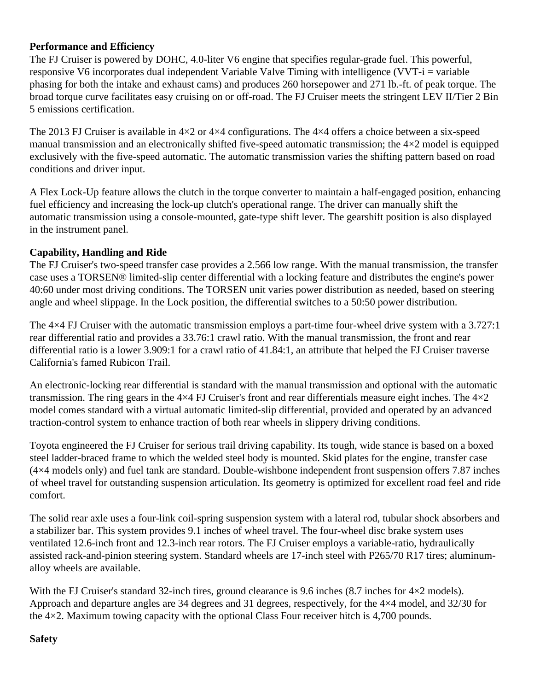#### **Performance and Efficiency**

The FJ Cruiser is powered by DOHC, 4.0-liter V6 engine that specifies regular-grade fuel. This powerful, responsive V6 incorporates dual independent Variable Valve Timing with intelligence (VVT-i = variable phasing for both the intake and exhaust cams) and produces 260 horsepower and 271 lb.-ft. of peak torque. The broad torque curve facilitates easy cruising on or off-road. The FJ Cruiser meets the stringent LEV II/Tier 2 Bin 5 emissions certification.

The 2013 FJ Cruiser is available in  $4\times2$  or  $4\times4$  configurations. The  $4\times4$  offers a choice between a six-speed manual transmission and an electronically shifted five-speed automatic transmission; the 4×2 model is equipped exclusively with the five-speed automatic. The automatic transmission varies the shifting pattern based on road conditions and driver input.

A Flex Lock-Up feature allows the clutch in the torque converter to maintain a half-engaged position, enhancing fuel efficiency and increasing the lock-up clutch's operational range. The driver can manually shift the automatic transmission using a console-mounted, gate-type shift lever. The gearshift position is also displayed in the instrument panel.

# **Capability, Handling and Ride**

The FJ Cruiser's two-speed transfer case provides a 2.566 low range. With the manual transmission, the transfer case uses a TORSEN® limited-slip center differential with a locking feature and distributes the engine's power 40:60 under most driving conditions. The TORSEN unit varies power distribution as needed, based on steering angle and wheel slippage. In the Lock position, the differential switches to a 50:50 power distribution.

The  $4\times4$  FJ Cruiser with the automatic transmission employs a part-time four-wheel drive system with a 3.727:1 rear differential ratio and provides a 33.76:1 crawl ratio. With the manual transmission, the front and rear differential ratio is a lower 3.909:1 for a crawl ratio of 41.84:1, an attribute that helped the FJ Cruiser traverse California's famed Rubicon Trail.

An electronic-locking rear differential is standard with the manual transmission and optional with the automatic transmission. The ring gears in the  $4\times4$  FJ Cruiser's front and rear differentials measure eight inches. The  $4\times2$ model comes standard with a virtual automatic limited-slip differential, provided and operated by an advanced traction-control system to enhance traction of both rear wheels in slippery driving conditions.

Toyota engineered the FJ Cruiser for serious trail driving capability. Its tough, wide stance is based on a boxed steel ladder-braced frame to which the welded steel body is mounted. Skid plates for the engine, transfer case (4×4 models only) and fuel tank are standard. Double-wishbone independent front suspension offers 7.87 inches of wheel travel for outstanding suspension articulation. Its geometry is optimized for excellent road feel and ride comfort.

The solid rear axle uses a four-link coil-spring suspension system with a lateral rod, tubular shock absorbers and a stabilizer bar. This system provides 9.1 inches of wheel travel. The four-wheel disc brake system uses ventilated 12.6-inch front and 12.3-inch rear rotors. The FJ Cruiser employs a variable-ratio, hydraulically assisted rack-and-pinion steering system. Standard wheels are 17-inch steel with P265/70 R17 tires; aluminumalloy wheels are available.

With the FJ Cruiser's standard 32-inch tires, ground clearance is 9.6 inches (8.7 inches for  $4\times2$  models). Approach and departure angles are 34 degrees and 31 degrees, respectively, for the 4×4 model, and 32/30 for the  $4\times2$ . Maximum towing capacity with the optional Class Four receiver hitch is 4,700 pounds.

#### **Safety**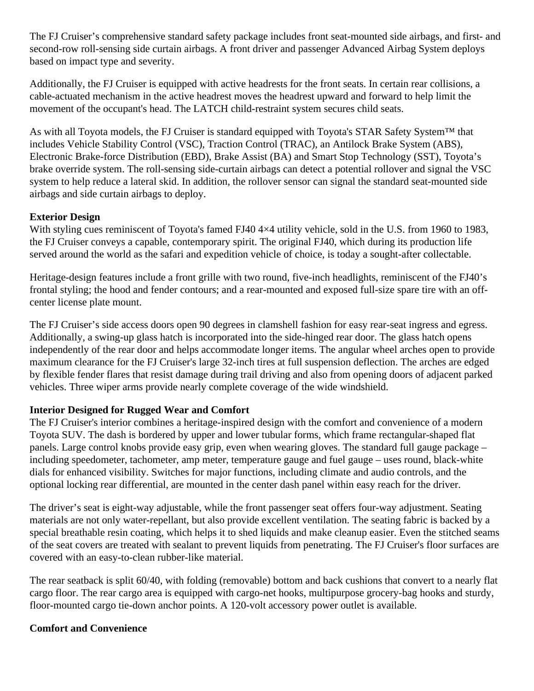The FJ Cruiser's comprehensive standard safety package includes front seat-mounted side airbags, and first- and second-row roll-sensing side curtain airbags. A front driver and passenger Advanced Airbag System deploys based on impact type and severity.

Additionally, the FJ Cruiser is equipped with active headrests for the front seats. In certain rear collisions, a cable-actuated mechanism in the active headrest moves the headrest upward and forward to help limit the movement of the occupant's head. The LATCH child-restraint system secures child seats.

As with all Toyota models, the FJ Cruiser is standard equipped with Toyota's STAR Safety System™ that includes Vehicle Stability Control (VSC), Traction Control (TRAC), an Antilock Brake System (ABS), Electronic Brake-force Distribution (EBD), Brake Assist (BA) and Smart Stop Technology (SST), Toyota's brake override system. The roll-sensing side-curtain airbags can detect a potential rollover and signal the VSC system to help reduce a lateral skid. In addition, the rollover sensor can signal the standard seat-mounted side airbags and side curtain airbags to deploy.

#### **Exterior Design**

With styling cues reminiscent of Toyota's famed FJ40 4×4 utility vehicle, sold in the U.S. from 1960 to 1983, the FJ Cruiser conveys a capable, contemporary spirit. The original FJ40, which during its production life served around the world as the safari and expedition vehicle of choice, is today a sought-after collectable.

Heritage-design features include a front grille with two round, five-inch headlights, reminiscent of the FJ40's frontal styling; the hood and fender contours; and a rear-mounted and exposed full-size spare tire with an offcenter license plate mount.

The FJ Cruiser's side access doors open 90 degrees in clamshell fashion for easy rear-seat ingress and egress. Additionally, a swing-up glass hatch is incorporated into the side-hinged rear door. The glass hatch opens independently of the rear door and helps accommodate longer items. The angular wheel arches open to provide maximum clearance for the FJ Cruiser's large 32-inch tires at full suspension deflection. The arches are edged by flexible fender flares that resist damage during trail driving and also from opening doors of adjacent parked vehicles. Three wiper arms provide nearly complete coverage of the wide windshield.

# **Interior Designed for Rugged Wear and Comfort**

The FJ Cruiser's interior combines a heritage-inspired design with the comfort and convenience of a modern Toyota SUV. The dash is bordered by upper and lower tubular forms, which frame rectangular-shaped flat panels. Large control knobs provide easy grip, even when wearing gloves. The standard full gauge package – including speedometer, tachometer, amp meter, temperature gauge and fuel gauge – uses round, black-white dials for enhanced visibility. Switches for major functions, including climate and audio controls, and the optional locking rear differential, are mounted in the center dash panel within easy reach for the driver.

The driver's seat is eight-way adjustable, while the front passenger seat offers four-way adjustment. Seating materials are not only water-repellant, but also provide excellent ventilation. The seating fabric is backed by a special breathable resin coating, which helps it to shed liquids and make cleanup easier. Even the stitched seams of the seat covers are treated with sealant to prevent liquids from penetrating. The FJ Cruiser's floor surfaces are covered with an easy-to-clean rubber-like material.

The rear seatback is split 60/40, with folding (removable) bottom and back cushions that convert to a nearly flat cargo floor. The rear cargo area is equipped with cargo-net hooks, multipurpose grocery-bag hooks and sturdy, floor-mounted cargo tie-down anchor points. A 120-volt accessory power outlet is available.

#### **Comfort and Convenience**